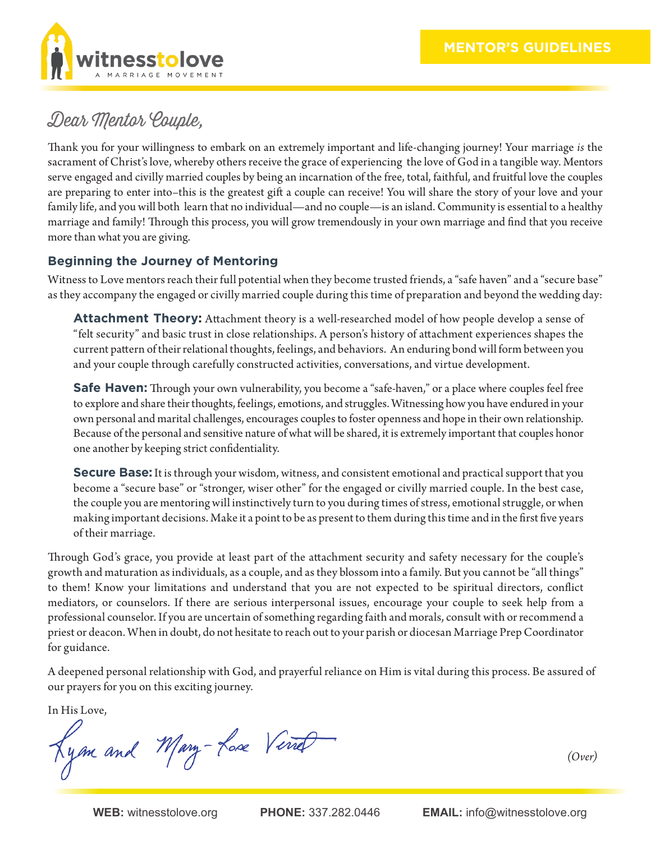

## Dear Mentor Couple,

Thank you for your willingness to embark on an extremely important and life-changing journey! Your marriage *is* the sacrament of Christ's love, whereby others receive the grace of experiencing the love of God in a tangible way. Mentors serve engaged and civilly married couples by being an incarnation of the free, total, faithful, and fruitful love the couples are preparing to enter into–this is the greatest gift a couple can receive! You will share the story of your love and your family life, and you will both learn that no individual—and no couple—is an island. Community is essential to a healthy marriage and family! Through this process, you will grow tremendously in your own marriage and find that you receive more than what you are giving.

## **Beginning the Journey of Mentoring**

Witness to Love mentors reach their full potential when they become trusted friends, a "safe haven" and a "secure base" as they accompany the engaged or civilly married couple during this time of preparation and beyond the wedding day:

**Attachment Theory:** Attachment theory is a well-researched model of how people develop a sense of "felt security" and basic trust in close relationships. A person's history of attachment experiences shapes the current pattern of their relational thoughts, feelings, and behaviors. An enduring bond will form between you and your couple through carefully constructed activities, conversations, and virtue development.

**Safe Haven:** Through your own vulnerability, you become a "safe-haven," or a place where couples feel free to explore and share their thoughts, feelings, emotions, and struggles. Witnessing how you have endured in your own personal and marital challenges, encourages couples to foster openness and hope in their own relationship. Because of the personal and sensitive nature of what will be shared, it is extremely important that couples honor one another by keeping strict confidentiality.

**Secure Base:** It is through your wisdom, witness, and consistent emotional and practical support that you become a "secure base" or "stronger, wiser other" for the engaged or civilly married couple. In the best case, the couple you are mentoring will instinctively turn to you during times of stress, emotional struggle, or when making important decisions. Make it a point to be as present to them during this time and in the first five years of their marriage.

Through God's grace, you provide at least part of the attachment security and safety necessary for the couple's growth and maturation as individuals, as a couple, and as they blossom into a family. But you cannot be "all things" to them! Know your limitations and understand that you are not expected to be spiritual directors, conflict mediators, or counselors. If there are serious interpersonal issues, encourage your couple to seek help from a professional counselor. If you are uncertain of something regarding faith and morals, consult with or recommend a priest or deacon. When in doubt, do not hesitate to reach out to your parish or diocesan Marriage Prep Coordinator for guidance.

A deepened personal relationship with God, and prayerful reliance on Him is vital during this process. Be assured of our prayers for you on this exciting journey.

In His Love,

Kyan and Mary-Lose Verret

*(Over)*